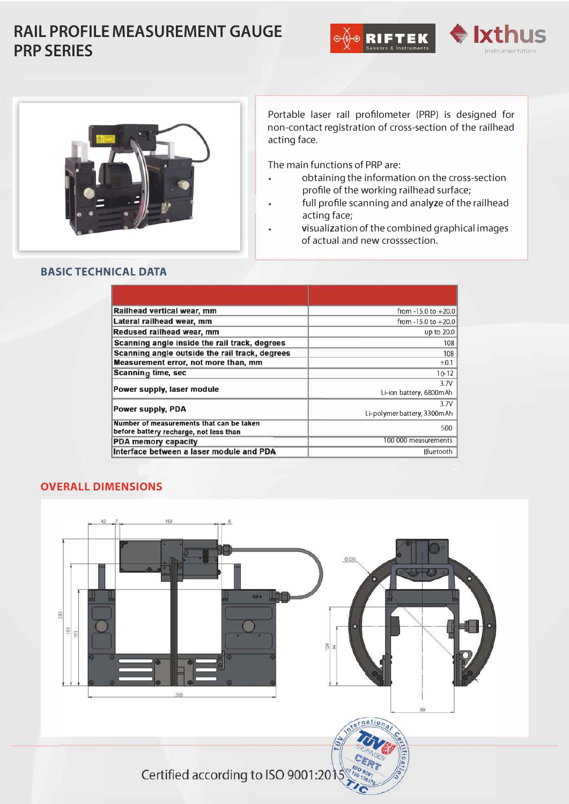## **RAIL PROFILE MEASUREMENT GAUGE PRP SERIES**







Portable laser rail profilometer (PRP) is designed for non-contact registration of cross-section of the railhead acting face.

The main functions of PRP are:

- obtaining the information on the cross-section  $\ddot{\phantom{a}}$ profile of the working railhead surface;
- full profile scanning and analyze of the railhead acting face;
- visualization of the combined graphical images of actual and new crosssection.

| Railhead vertical wear, mm                                                         | from $-15.0$ to $+20.0$             |  |
|------------------------------------------------------------------------------------|-------------------------------------|--|
| Lateral railhead wear, mm                                                          | from $-15.0$ to $+20.0$             |  |
| Redused railhead wear, mm                                                          | up to 20.0                          |  |
| Scanning angle inside the rail track, degrees                                      | 108                                 |  |
| Scanning angle outside the rail track, degrees                                     | 108                                 |  |
| <b>Measurement error, not more than, mm</b>                                        | ±0.1                                |  |
| <b>Scanning time, sec</b>                                                          | $10 - 12$                           |  |
| Power supply, laser module                                                         | 3.7V<br>Li-ion battery, 6800mAh     |  |
| Power supply, PDA                                                                  | 3.7V<br>Li-polymer battery, 3300mAh |  |
| Number of measurements that can be taken<br>before battery recharge, not less than | 500                                 |  |
| <b>PDA memory capacity</b>                                                         | 100 000 measurements                |  |
| Interface between a laser module and PDA                                           | Bluetooth                           |  |

## **OVERALL DIMENSIONS**

**BASIC TECHNICAL DATA**